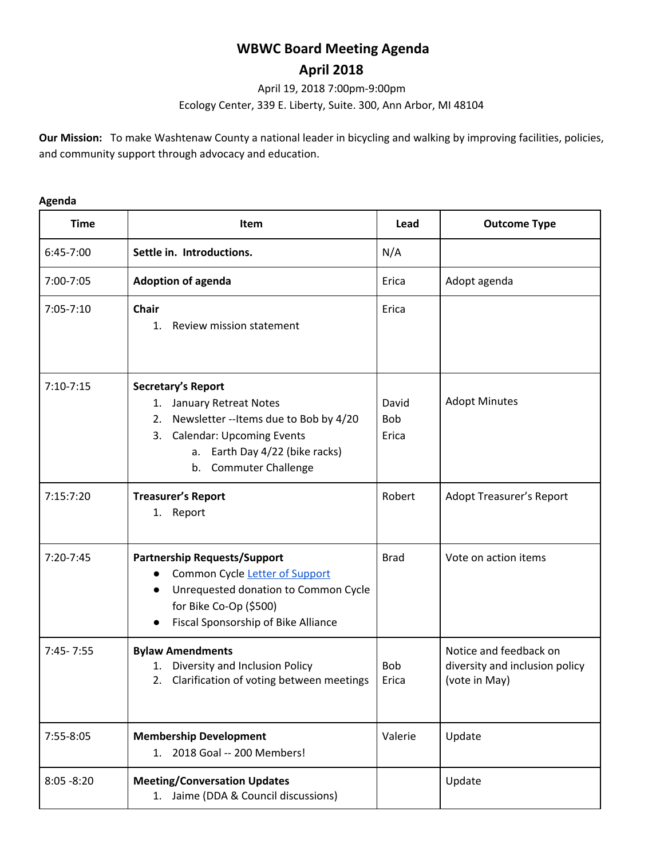# **WBWC Board Meeting Agenda**

# **April 2018**

April 19, 2018 7:00pm-9:00pm

Ecology Center, 339 E. Liberty, Suite. 300, Ann Arbor, MI 48104

**Our Mission:** To make Washtenaw County a national leader in bicycling and walking by improving facilities, policies, and community support through advocacy and education.

# **Time Item Lead Outcome Type** 6:45-7:00 **Settle in. Introductions.** N/A 7:00-7:05 **Adoption of agenda** Erica Adopt agenda 7:05-7:10 **Chair** 1. Review mission statement Erica 7:10-7:15 **Secretary's Report** 1. January Retreat Notes 2. Newsletter --Items due to Bob by 4/20 3. Calendar: Upcoming Events a. Earth Day 4/22 (bike racks) b. Commuter Challenge David Bob Erica Adopt Minutes 7:15:7:20 **Treasurer's Report** 1. Report Robert | Adopt Treasurer's Report 7:20-7:45 **Partnership Requests/Support** ● Common Cycle Letter of [Support](https://docs.google.com/document/d/1lWD5L3TZFMAPyZtOHmr-z3OEKtt3DQaj9b6UBbbZ9ts/edit) ● Unrequested donation to Common Cycle for Bike Co-Op (\$500) ● Fiscal Sponsorship of Bike Alliance Brad Vote on action items 7:45- 7:55 **Bylaw Amendments** 1. Diversity and Inclusion Policy 2. Clarification of voting between meetings Bob Erica Notice and feedback on diversity and inclusion policy (vote in May) 7:55-8:05 **Membership Development** 1. 2018 Goal -- 200 Members! Valerie Update 8:05 -8:20 **Meeting/Conversation Updates** 1. Jaime (DDA & Council discussions) Update

## **Agenda**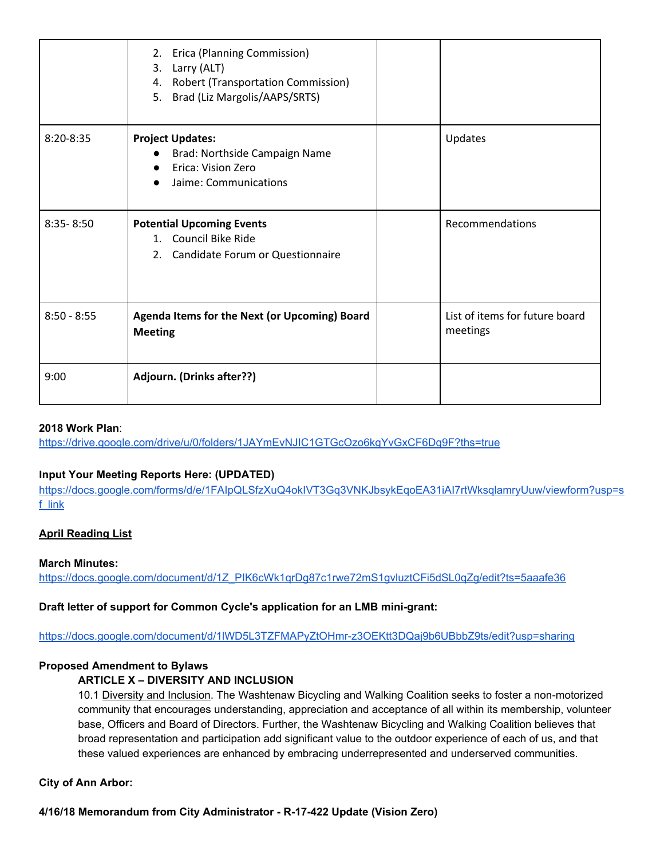|               | Erica (Planning Commission)<br>2.<br>Larry (ALT)<br>3.<br>4. Robert (Transportation Commission)<br>Brad (Liz Margolis/AAPS/SRTS)<br>5. |                                            |
|---------------|----------------------------------------------------------------------------------------------------------------------------------------|--------------------------------------------|
| $8:20 - 8:35$ | <b>Project Updates:</b><br>Brad: Northside Campaign Name<br>Erica: Vision Zero<br>Jaime: Communications                                | Updates                                    |
| $8:35 - 8:50$ | <b>Potential Upcoming Events</b><br>1. Council Bike Ride<br>2. Candidate Forum or Questionnaire                                        | Recommendations                            |
| $8:50 - 8:55$ | Agenda Items for the Next (or Upcoming) Board<br><b>Meeting</b>                                                                        | List of items for future board<br>meetings |
| 9:00          | Adjourn. (Drinks after??)                                                                                                              |                                            |

## **2018 Work Plan**:

<https://drive.google.com/drive/u/0/folders/1JAYmEvNJIC1GTGcOzo6kgYvGxCF6Dq9F?ths=true>

# **Input Your Meeting Reports Here: (UPDATED)**

[https://docs.google.com/forms/d/e/1FAIpQLSfzXuQ4okIVT3Gq3VNKJbsykEqoEA31iAI7rtWksqlamryUuw/viewform?usp=s](https://docs.google.com/forms/d/e/1FAIpQLSfzXuQ4okIVT3Gq3VNKJbsykEqoEA31iAI7rtWksqlamryUuw/viewform?usp=sf_link) [f\\_link](https://docs.google.com/forms/d/e/1FAIpQLSfzXuQ4okIVT3Gq3VNKJbsykEqoEA31iAI7rtWksqlamryUuw/viewform?usp=sf_link)

# **April Reading List**

#### **March Minutes:**

[https://docs.google.com/document/d/1Z\\_PIK6cWk1qrDg87c1rwe72mS1gvluztCFi5dSL0qZg/edit?ts=5aaafe36](https://docs.google.com/document/d/1Z_PIK6cWk1qrDg87c1rwe72mS1gvluztCFi5dSL0qZg/edit?ts=5aaafe36)

# **Draft letter of support for Common Cycle's application for an LMB mini-grant:**

<https://docs.google.com/document/d/1lWD5L3TZFMAPyZtOHmr-z3OEKtt3DQaj9b6UBbbZ9ts/edit?usp=sharing>

# **Proposed Amendment to Bylaws**

# **ARTICLE X – DIVERSITY AND INCLUSION**

10.1 Diversity and Inclusion. The Washtenaw Bicycling and Walking Coalition seeks to foster a non-motorized community that encourages understanding, appreciation and acceptance of all within its membership, volunteer base, Officers and Board of Directors. Further, the Washtenaw Bicycling and Walking Coalition believes that broad representation and participation add significant value to the outdoor experience of each of us, and that these valued experiences are enhanced by embracing underrepresented and underserved communities.

#### **City of Ann Arbor:**

**4/16/18 Memorandum from City Administrator - R-17-422 Update (Vision Zero)**